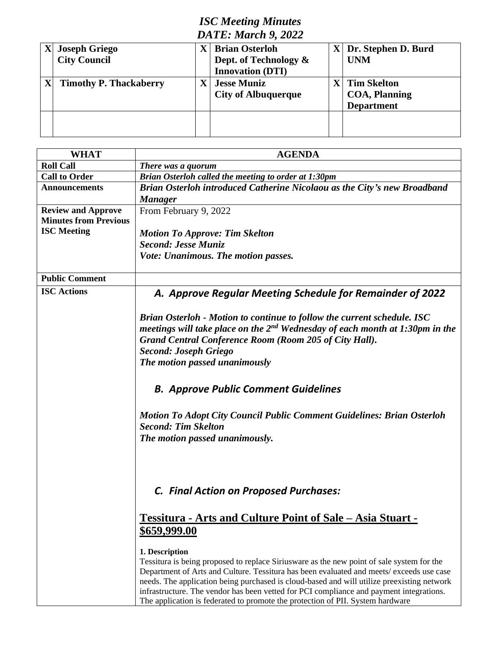# *ISC Meeting Minutes DATE: March 9, 2022*

| $\mathbf{X}$ | <b>Joseph Griego</b>          |  | <b>Brian Osterloh</b>      |  | Dr. Stephen D. Burd   |  |
|--------------|-------------------------------|--|----------------------------|--|-----------------------|--|
|              | <b>City Council</b>           |  | Dept. of Technology &      |  | <b>UNM</b>            |  |
|              |                               |  | <b>Innovation (DTI)</b>    |  |                       |  |
|              | <b>Timothy P. Thackaberry</b> |  | <b>Jesse Muniz</b>         |  | <b>Tim Skelton</b>    |  |
|              |                               |  | <b>City of Albuquerque</b> |  | <b>COA</b> , Planning |  |
|              |                               |  |                            |  | <b>Department</b>     |  |
|              |                               |  |                            |  |                       |  |
|              |                               |  |                            |  |                       |  |
|              |                               |  |                            |  |                       |  |

| <b>WHAT</b>                  | <b>AGENDA</b>                                                                                                                                                                                                                                                                                                                                                                                                                                                                      |  |  |
|------------------------------|------------------------------------------------------------------------------------------------------------------------------------------------------------------------------------------------------------------------------------------------------------------------------------------------------------------------------------------------------------------------------------------------------------------------------------------------------------------------------------|--|--|
| <b>Roll Call</b>             | There was a quorum                                                                                                                                                                                                                                                                                                                                                                                                                                                                 |  |  |
| <b>Call to Order</b>         | Brian Osterloh called the meeting to order at 1:30pm                                                                                                                                                                                                                                                                                                                                                                                                                               |  |  |
| <b>Announcements</b>         | Brian Osterloh introduced Catherine Nicolaou as the City's new Broadband<br><b>Manager</b>                                                                                                                                                                                                                                                                                                                                                                                         |  |  |
| <b>Review and Approve</b>    | From February 9, 2022                                                                                                                                                                                                                                                                                                                                                                                                                                                              |  |  |
| <b>Minutes from Previous</b> |                                                                                                                                                                                                                                                                                                                                                                                                                                                                                    |  |  |
| <b>ISC</b> Meeting           | <b>Motion To Approve: Tim Skelton</b>                                                                                                                                                                                                                                                                                                                                                                                                                                              |  |  |
|                              | Second: Jesse Muniz                                                                                                                                                                                                                                                                                                                                                                                                                                                                |  |  |
|                              | Vote: Unanimous. The motion passes.                                                                                                                                                                                                                                                                                                                                                                                                                                                |  |  |
|                              |                                                                                                                                                                                                                                                                                                                                                                                                                                                                                    |  |  |
| <b>Public Comment</b>        |                                                                                                                                                                                                                                                                                                                                                                                                                                                                                    |  |  |
| <b>ISC Actions</b>           | A. Approve Regular Meeting Schedule for Remainder of 2022                                                                                                                                                                                                                                                                                                                                                                                                                          |  |  |
|                              | Brian Osterloh - Motion to continue to follow the current schedule. ISC<br>meetings will take place on the $2^{nd}$ Wednesday of each month at 1:30pm in the<br>Grand Central Conference Room (Room 205 of City Hall).<br><b>Second: Joseph Griego</b><br>The motion passed unanimously                                                                                                                                                                                            |  |  |
|                              |                                                                                                                                                                                                                                                                                                                                                                                                                                                                                    |  |  |
|                              | <b>B. Approve Public Comment Guidelines</b>                                                                                                                                                                                                                                                                                                                                                                                                                                        |  |  |
|                              | <b>Motion To Adopt City Council Public Comment Guidelines: Brian Osterloh</b><br><b>Second: Tim Skelton</b>                                                                                                                                                                                                                                                                                                                                                                        |  |  |
|                              | The motion passed unanimously.                                                                                                                                                                                                                                                                                                                                                                                                                                                     |  |  |
|                              | <b>C. Final Action on Proposed Purchases:</b>                                                                                                                                                                                                                                                                                                                                                                                                                                      |  |  |
|                              |                                                                                                                                                                                                                                                                                                                                                                                                                                                                                    |  |  |
|                              | <u>Tessitura - Arts and Culture Point of Sale - Asia Stuart - </u>                                                                                                                                                                                                                                                                                                                                                                                                                 |  |  |
|                              | \$659,999.00                                                                                                                                                                                                                                                                                                                                                                                                                                                                       |  |  |
|                              | 1. Description<br>Tessitura is being proposed to replace Siriusware as the new point of sale system for the<br>Department of Arts and Culture. Tessitura has been evaluated and meets/ exceeds use case<br>needs. The application being purchased is cloud-based and will utilize preexisting network<br>infrastructure. The vendor has been vetted for PCI compliance and payment integrations.<br>The application is federated to promote the protection of PII. System hardware |  |  |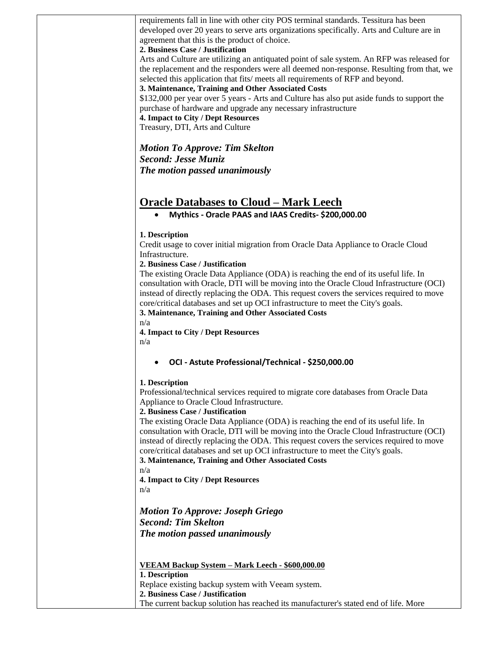requirements fall in line with other city POS terminal standards. Tessitura has been developed over 20 years to serve arts organizations specifically. Arts and Culture are in agreement that this is the product of choice.

#### **2. Business Case / Justification**

Arts and Culture are utilizing an antiquated point of sale system. An RFP was released for the replacement and the responders were all deemed non-response. Resulting from that, we selected this application that fits/ meets all requirements of RFP and beyond.

**3. Maintenance, Training and Other Associated Costs** 

\$132,000 per year over 5 years - Arts and Culture has also put aside funds to support the purchase of hardware and upgrade any necessary infrastructure

**4. Impact to City / Dept Resources**  Treasury, DTI, Arts and Culture

*Motion To Approve: Tim Skelton Second: Jesse Muniz The motion passed unanimously*

# **Oracle Databases to Cloud – Mark Leech**

• **Mythics - Oracle PAAS and IAAS Credits- \$200,000.00**

#### **1. Description**

Credit usage to cover initial migration from Oracle Data Appliance to Oracle Cloud Infrastructure.

#### **2. Business Case / Justification**

The existing Oracle Data Appliance (ODA) is reaching the end of its useful life. In consultation with Oracle, DTI will be moving into the Oracle Cloud Infrastructure (OCI) instead of directly replacing the ODA. This request covers the services required to move core/critical databases and set up OCI infrastructure to meet the City's goals.

**3. Maintenance, Training and Other Associated Costs** 

n/a

**4. Impact to City / Dept Resources**  n/a

### • **OCI - Astute Professional/Technical - \$250,000.00**

#### **1. Description**

Professional/technical services required to migrate core databases from Oracle Data Appliance to Oracle Cloud Infrastructure.

#### **2. Business Case / Justification**

The existing Oracle Data Appliance (ODA) is reaching the end of its useful life. In consultation with Oracle, DTI will be moving into the Oracle Cloud Infrastructure (OCI) instead of directly replacing the ODA. This request covers the services required to move core/critical databases and set up OCI infrastructure to meet the City's goals.

**3. Maintenance, Training and Other Associated Costs** 

n/a

**4. Impact to City / Dept Resources**  n/a

*Motion To Approve: Joseph Griego Second: Tim Skelton The motion passed unanimously*

**VEEAM Backup System – Mark Leech - \$600,000.00 1. Description**  Replace existing backup system with Veeam system. **2. Business Case / Justification**  The current backup solution has reached its manufacturer's stated end of life. More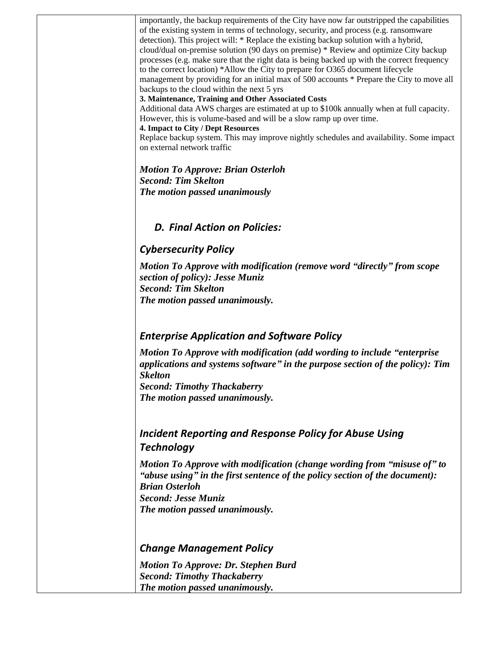importantly, the backup requirements of the City have now far outstripped the capabilities of the existing system in terms of technology, security, and process (e.g. ransomware detection). This project will: \* Replace the existing backup solution with a hybrid, cloud/dual on-premise solution (90 days on premise) \* Review and optimize City backup processes (e.g. make sure that the right data is being backed up with the correct frequency to the correct location) \*Allow the City to prepare for O365 document lifecycle management by providing for an initial max of 500 accounts \* Prepare the City to move all backups to the cloud within the next 5 yrs

#### **3. Maintenance, Training and Other Associated Costs**

Additional data AWS charges are estimated at up to \$100k annually when at full capacity. However, this is volume-based and will be a slow ramp up over time.

#### **4. Impact to City / Dept Resources**

Replace backup system. This may improve nightly schedules and availability. Some impact on external network traffic

*Motion To Approve: Brian Osterloh Second: Tim Skelton The motion passed unanimously*

# *D. Final Action on Policies:*

# *Cybersecurity Policy*

*Motion To Approve with modification (remove word "directly" from scope section of policy): Jesse Muniz Second: Tim Skelton The motion passed unanimously.*

# *Enterprise Application and Software Policy*

*Motion To Approve with modification (add wording to include "enterprise applications and systems software" in the purpose section of the policy): Tim Skelton Second: Timothy Thackaberry The motion passed unanimously.*

# *Incident Reporting and Response Policy for Abuse Using Technology*

*Motion To Approve with modification (change wording from "misuse of" to "abuse using" in the first sentence of the policy section of the document): Brian Osterloh Second: Jesse Muniz The motion passed unanimously.*

### *Change Management Policy*

*Motion To Approve: Dr. Stephen Burd Second: Timothy Thackaberry The motion passed unanimously.*